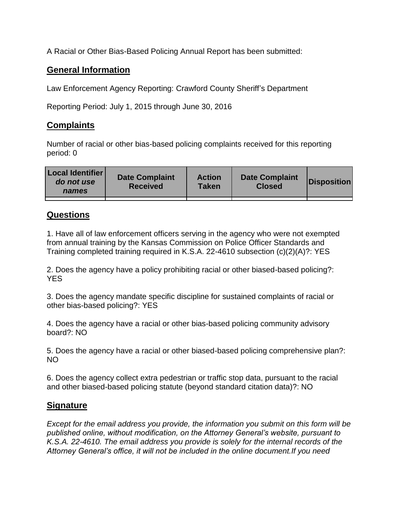A Racial or Other Bias-Based Policing Annual Report has been submitted:

## **General Information**

Law Enforcement Agency Reporting: Crawford County Sheriff's Department

Reporting Period: July 1, 2015 through June 30, 2016

## **Complaints**

Number of racial or other bias-based policing complaints received for this reporting period: 0

| <b>Local Identifier</b><br>do not use<br>names | <b>Date Complaint</b><br><b>Received</b> | <b>Action</b><br><b>Taken</b> | <b>Date Complaint</b><br><b>Closed</b> | Disposition |
|------------------------------------------------|------------------------------------------|-------------------------------|----------------------------------------|-------------|
|                                                |                                          |                               |                                        |             |

## **Questions**

1. Have all of law enforcement officers serving in the agency who were not exempted from annual training by the Kansas Commission on Police Officer Standards and Training completed training required in K.S.A. 22-4610 subsection (c)(2)(A)?: YES

2. Does the agency have a policy prohibiting racial or other biased-based policing?: YES

3. Does the agency mandate specific discipline for sustained complaints of racial or other bias-based policing?: YES

4. Does the agency have a racial or other bias-based policing community advisory board?: NO

5. Does the agency have a racial or other biased-based policing comprehensive plan?: NO

6. Does the agency collect extra pedestrian or traffic stop data, pursuant to the racial and other biased-based policing statute (beyond standard citation data)?: NO

## **Signature**

*Except for the email address you provide, the information you submit on this form will be published online, without modification, on the Attorney General's website, pursuant to K.S.A. 22-4610. The email address you provide is solely for the internal records of the Attorney General's office, it will not be included in the online document.If you need*